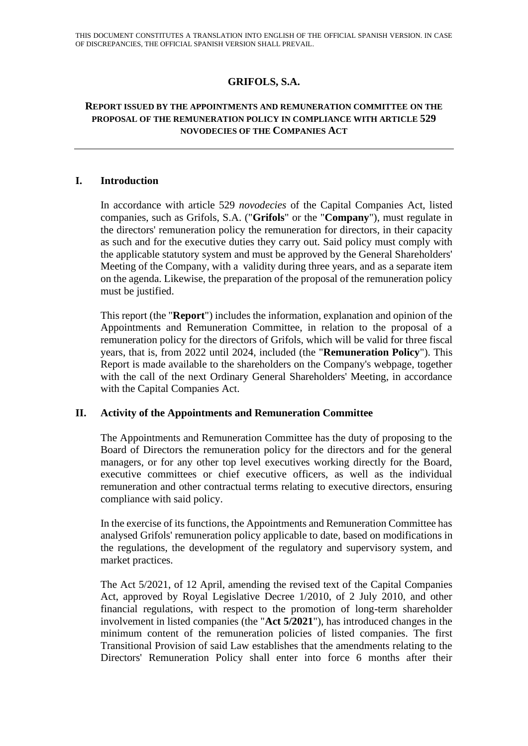# **GRIFOLS, S.A.**

#### **REPORT ISSUED BY THE APPOINTMENTS AND REMUNERATION COMMITTEE ON THE PROPOSAL OF THE REMUNERATION POLICY IN COMPLIANCE WITH ARTICLE 529 NOVODECIES OF THE COMPANIES ACT**

### **I. Introduction**

In accordance with article 529 *novodecies* of the Capital Companies Act, listed companies, such as Grifols, S.A. ("**Grifols**" or the "**Company**"), must regulate in the directors' remuneration policy the remuneration for directors, in their capacity as such and for the executive duties they carry out. Said policy must comply with the applicable statutory system and must be approved by the General Shareholders' Meeting of the Company, with a validity during three years, and as a separate item on the agenda. Likewise, the preparation of the proposal of the remuneration policy must be justified.

This report (the "**Report**") includes the information, explanation and opinion of the Appointments and Remuneration Committee, in relation to the proposal of a remuneration policy for the directors of Grifols, which will be valid for three fiscal years, that is, from 2022 until 2024, included (the "**Remuneration Policy**"). This Report is made available to the shareholders on the Company's webpage, together with the call of the next Ordinary General Shareholders' Meeting, in accordance with the Capital Companies Act.

### **II. Activity of the Appointments and Remuneration Committee**

The Appointments and Remuneration Committee has the duty of proposing to the Board of Directors the remuneration policy for the directors and for the general managers, or for any other top level executives working directly for the Board, executive committees or chief executive officers, as well as the individual remuneration and other contractual terms relating to executive directors, ensuring compliance with said policy.

In the exercise of its functions, the Appointments and Remuneration Committee has analysed Grifols' remuneration policy applicable to date, based on modifications in the regulations, the development of the regulatory and supervisory system, and market practices.

The Act 5/2021, of 12 April, amending the revised text of the Capital Companies Act, approved by Royal Legislative Decree 1/2010, of 2 July 2010, and other financial regulations, with respect to the promotion of long-term shareholder involvement in listed companies (the "**Act 5/2021**"), has introduced changes in the minimum content of the remuneration policies of listed companies. The first Transitional Provision of said Law establishes that the amendments relating to the Directors' Remuneration Policy shall enter into force 6 months after their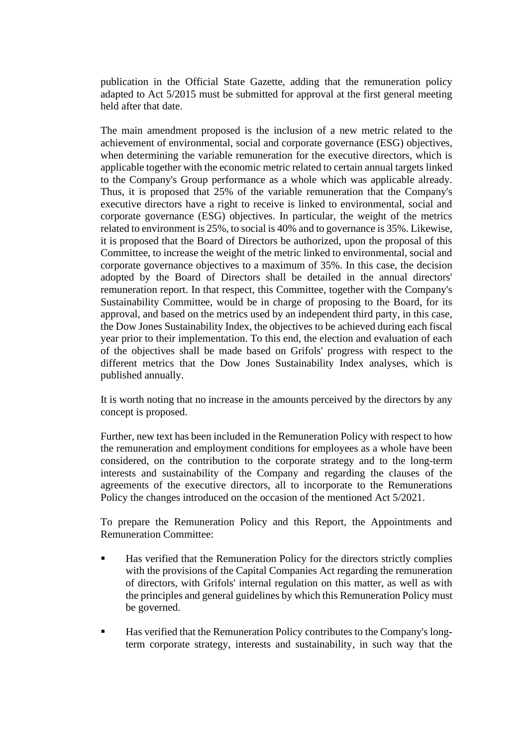publication in the Official State Gazette, adding that the remuneration policy adapted to Act 5/2015 must be submitted for approval at the first general meeting held after that date.

The main amendment proposed is the inclusion of a new metric related to the achievement of environmental, social and corporate governance (ESG) objectives, when determining the variable remuneration for the executive directors, which is applicable together with the economic metric related to certain annual targets linked to the Company's Group performance as a whole which was applicable already. Thus, it is proposed that 25% of the variable remuneration that the Company's executive directors have a right to receive is linked to environmental, social and corporate governance (ESG) objectives. In particular, the weight of the metrics related to environment is 25%, to social is 40% and to governance is 35%. Likewise, it is proposed that the Board of Directors be authorized, upon the proposal of this Committee, to increase the weight of the metric linked to environmental, social and corporate governance objectives to a maximum of 35%. In this case, the decision adopted by the Board of Directors shall be detailed in the annual directors' remuneration report. In that respect, this Committee, together with the Company's Sustainability Committee, would be in charge of proposing to the Board, for its approval, and based on the metrics used by an independent third party, in this case, the Dow Jones Sustainability Index, the objectives to be achieved during each fiscal year prior to their implementation. To this end, the election and evaluation of each of the objectives shall be made based on Grifols' progress with respect to the different metrics that the Dow Jones Sustainability Index analyses, which is published annually.

It is worth noting that no increase in the amounts perceived by the directors by any concept is proposed.

Further, new text has been included in the Remuneration Policy with respect to how the remuneration and employment conditions for employees as a whole have been considered, on the contribution to the corporate strategy and to the long-term interests and sustainability of the Company and regarding the clauses of the agreements of the executive directors, all to incorporate to the Remunerations Policy the changes introduced on the occasion of the mentioned Act 5/2021.

To prepare the Remuneration Policy and this Report, the Appointments and Remuneration Committee:

- Has verified that the Remuneration Policy for the directors strictly complies with the provisions of the Capital Companies Act regarding the remuneration of directors, with Grifols' internal regulation on this matter, as well as with the principles and general guidelines by which this Remuneration Policy must be governed.
- Has verified that the Remuneration Policy contributes to the Company's longterm corporate strategy, interests and sustainability, in such way that the